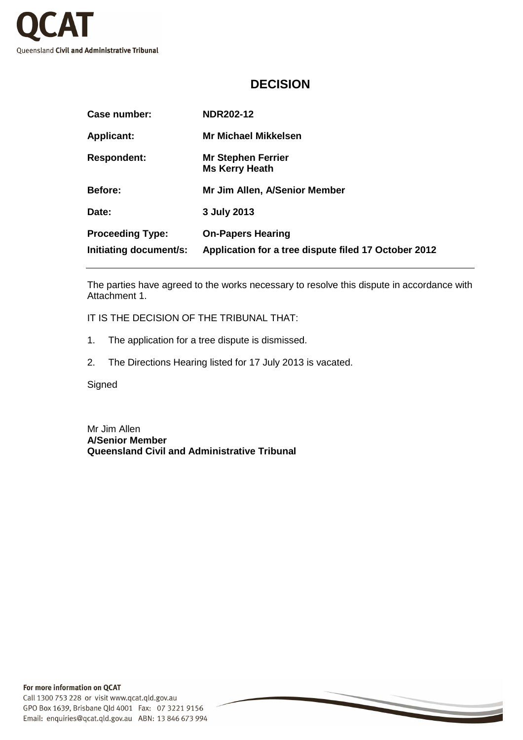

## **DECISION**

| Case number:            | <b>NDR202-12</b>                                     |
|-------------------------|------------------------------------------------------|
| <b>Applicant:</b>       | <b>Mr Michael Mikkelsen</b>                          |
| <b>Respondent:</b>      | <b>Mr Stephen Ferrier</b><br><b>Ms Kerry Heath</b>   |
| <b>Before:</b>          | Mr Jim Allen, A/Senior Member                        |
| Date:                   | 3 July 2013                                          |
| <b>Proceeding Type:</b> | <b>On-Papers Hearing</b>                             |
| Initiating document/s:  | Application for a tree dispute filed 17 October 2012 |

The parties have agreed to the works necessary to resolve this dispute in accordance with Attachment 1.

IT IS THE DECISION OF THE TRIBUNAL THAT:

- 1. The application for a tree dispute is dismissed.
- 2. The Directions Hearing listed for 17 July 2013 is vacated.

**Signed** 

Mr Jim Allen **A/Senior Member Queensland Civil and Administrative Tribunal**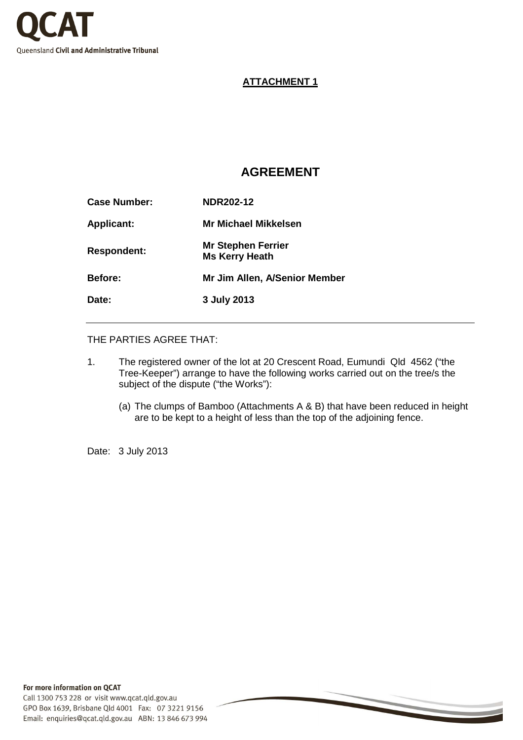

#### **ATTACHMENT 1**

# **AGREEMENT**

| <b>Case Number:</b> | <b>NDR202-12</b>                                   |
|---------------------|----------------------------------------------------|
| <b>Applicant:</b>   | Mr Michael Mikkelsen                               |
| <b>Respondent:</b>  | <b>Mr Stephen Ferrier</b><br><b>Ms Kerry Heath</b> |
| <b>Before:</b>      | <b>Mr Jim Allen, A/Senior Member</b>               |
| Date:               | 3 July 2013                                        |

THE PARTIES AGREE THAT:

- 1. The registered owner of the lot at 20 Crescent Road, Eumundi Qld 4562 ("the Tree-Keeper") arrange to have the following works carried out on the tree/s the subject of the dispute ("the Works"):
	- (a) The clumps of Bamboo (Attachments A & B) that have been reduced in height are to be kept to a height of less than the top of the adjoining fence.

Date: 3 July 2013